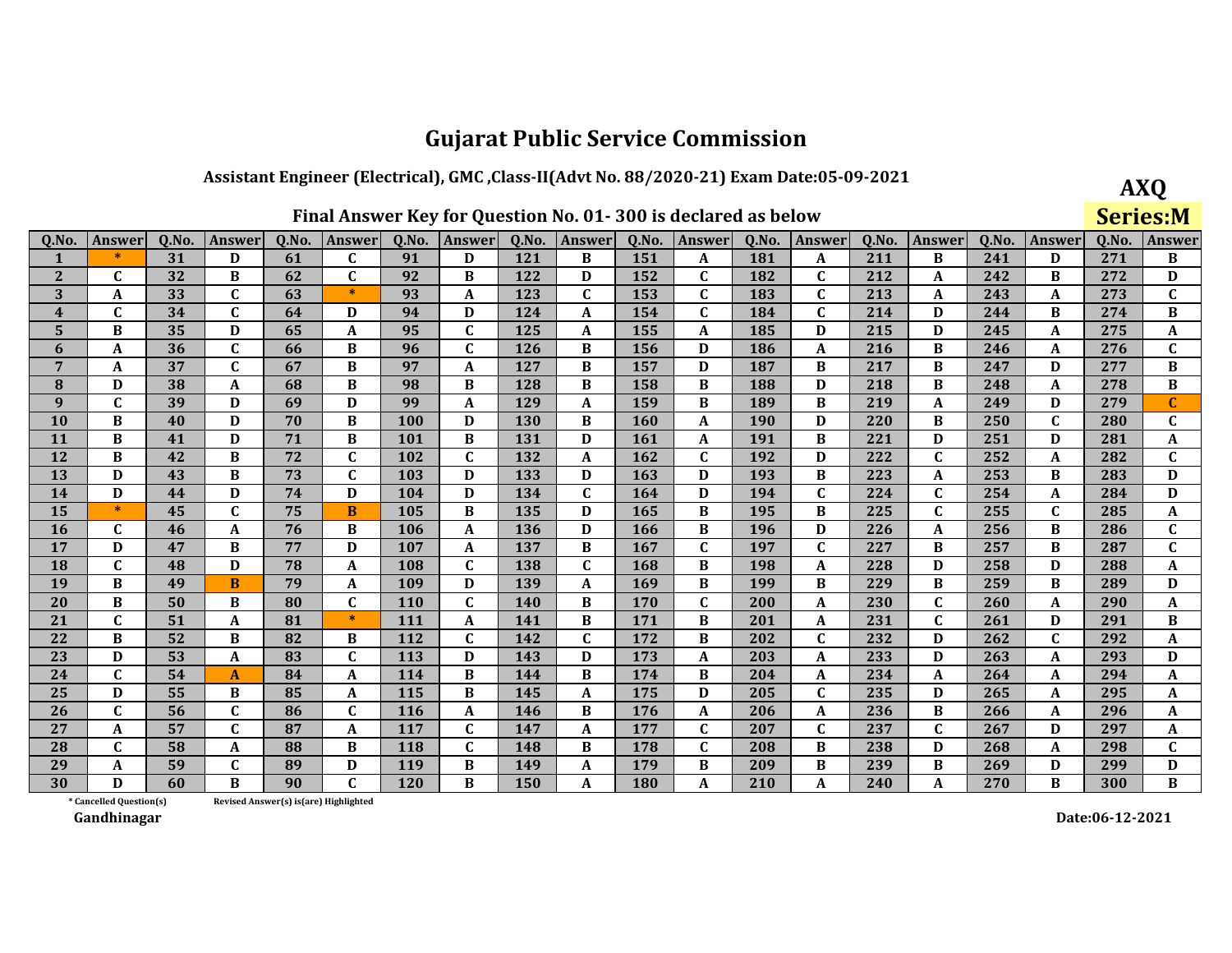### Assistant Engineer (Electrical), GMC, Class-II(Advt No. 88/2020-21) Exam Date:05-09-2021

**AXQ** Series:M

| Q.No.          | <b>Answer</b>           | Q.No. | <b>Answer</b> | Q.No.                                 | Answer       | Q.No.      | Answer      | Q.No.      | Answer       | Q.No. | Answer       | Q.No. | Answer       | Q.No. | Answer       | Q.No. | Answer       | Q.No. | <b>Answer</b> |
|----------------|-------------------------|-------|---------------|---------------------------------------|--------------|------------|-------------|------------|--------------|-------|--------------|-------|--------------|-------|--------------|-------|--------------|-------|---------------|
|                | $\ast$                  | 31    | D             | 61                                    | C            | 91         | D           | 121        | B            | 151   | A            | 181   | A            | 211   | B            | 241   | D            | 271   | B             |
| $\mathbf{2}$   | $\mathbf{C}$            | 32    | B             | 62                                    | $\mathbf{C}$ | 92         | B           | 122        | D            | 152   | $\mathbf C$  | 182   | $\mathbf C$  | 212   | A            | 242   | B            | 272   | D             |
| 3              | A                       | 33    | $\mathbf{C}$  | 63                                    | $\ast$       | 93         | A           | 123        | $\mathbf{C}$ | 153   | $\mathbf{C}$ | 183   | $\mathbf{C}$ | 213   | A            | 243   | A            | 273   | $\mathbf C$   |
| $\overline{4}$ | $\mathbf{C}$            | 34    | $\mathbf{C}$  | 64                                    | D            | 94         | D           | 124        | A            | 154   | $\mathbf C$  | 184   | $\mathbf{C}$ | 214   | D            | 244   | B            | 274   | $\bf{B}$      |
| 5 <sup>5</sup> | B                       | 35    | D             | 65                                    | A            | 95         | $\mathbf C$ | 125        | A            | 155   | A            | 185   | D            | 215   | D            | 245   | A            | 275   | A             |
| 6              | A                       | 36    | $\mathbf{C}$  | 66                                    | B            | 96         | $\mathbf C$ | 126        | B            | 156   | D            | 186   | A            | 216   | B            | 246   | A            | 276   | $\mathbf C$   |
| 7              | A                       | 37    | $\mathbf{C}$  | 67                                    | B            | 97         | A           | 127        | B            | 157   | D            | 187   | B            | 217   | B            | 247   | D            | 277   | $\, {\bf B}$  |
| 8              | D                       | 38    | A             | 68                                    | B            | 98         | B           | 128        | B            | 158   | B            | 188   | D            | 218   | B            | 248   | A            | 278   | $\bf{B}$      |
| 9              | $\mathbf C$             | 39    | D             | 69                                    | D            | 99         | A           | 129        | A            | 159   | B            | 189   | B            | 219   | $\mathbf A$  | 249   | D            | 279   | $\mathbf C$   |
| <b>10</b>      | B                       | 40    | D             | 70                                    | B            | 100        | D           | 130        | B            | 160   | A            | 190   | D            | 220   | B            | 250   | $\mathbf{C}$ | 280   | $\mathbf C$   |
| 11             | B                       | 41    | D             | 71                                    | B            | 101        | B           | 131        | D            | 161   | A            | 191   | B            | 221   | D            | 251   | D            | 281   | A             |
| 12             | B                       | 42    | B             | 72                                    | $\mathbf{C}$ | 102        | $\mathbf C$ | 132        | A            | 162   | $\mathbf C$  | 192   | D            | 222   | $\mathbf C$  | 252   | A            | 282   | $\mathbf C$   |
| 13             | D                       | 43    | B             | 73                                    | $\mathbf{C}$ | 103        | D           | 133        | D            | 163   | D            | 193   | B            | 223   | A            | 253   | В            | 283   | D             |
| 14             | D                       | 44    | D             | 74                                    | D            | 104        | D           | 134        | $\mathbf C$  | 164   | D            | 194   | $\mathbf C$  | 224   | $\mathbf C$  | 254   | A            | 284   | D             |
| 15             | $\ast$                  | 45    | $\mathbf{C}$  | 75                                    | $\bf{B}$     | 105        | $\bf{B}$    | 135        | D            | 165   | B            | 195   | B            | 225   | $\mathbf{C}$ | 255   | $\mathbf{C}$ | 285   | A             |
| <b>16</b>      | $\mathbf{C}$            | 46    | A             | 76                                    | B            | 106        | A           | 136        | D            | 166   | B            | 196   | D            | 226   | A            | 256   | В            | 286   | $\mathbf C$   |
| 17             | D                       | 47    | B             | 77                                    | D            | 107        | A           | 137        | B            | 167   | $\mathbf C$  | 197   | $\mathbf C$  | 227   | B            | 257   | B            | 287   | $\mathbf C$   |
| <b>18</b>      | $\mathbf{C}$            | 48    | D             | 78                                    | $\mathbf{A}$ | 108        | $\mathbf C$ | 138        | $\mathbf C$  | 168   | B            | 198   | A            | 228   | D            | 258   | D            | 288   | $\pmb{A}$     |
| 19             | B                       | 49    | B             | 79                                    | A            | 109        | D           | 139        | A            | 169   | B            | 199   | B            | 229   | B            | 259   | B            | 289   | D             |
| <b>20</b>      | B                       | 50    | B             | 80                                    | $\mathbf{C}$ | <b>110</b> | $\mathbf C$ | <b>140</b> | B            | 170   | $\mathbf{C}$ | 200   | A            | 230   | C            | 260   | A            | 290   | A             |
| 21             | $\mathbf{C}$            | 51    | A             | 81                                    | $\ast$       | 111        | $\mathbf A$ | 141        | B            | 171   | B            | 201   | $\mathbf{A}$ | 231   | $\mathbf C$  | 261   | D            | 291   | $\, {\bf B}$  |
| 22             | B                       | 52    | B             | 82                                    | B            | 112        | $\mathbf C$ | 142        | $\mathbf{C}$ | 172   | B            | 202   | $\mathbf C$  | 232   | D            | 262   | $\mathbf{C}$ | 292   | $\pmb{A}$     |
| 23             | D                       | 53    | A             | 83                                    | C            | 113        | D           | 143        | D            | 173   | A            | 203   | A            | 233   | D            | 263   | A            | 293   | D             |
| 24             | $\mathbf{C}$            | 54    | $\mathbf{A}$  | 84                                    | A            | 114        | B           | 144        | B            | 174   | B            | 204   | A            | 234   | $\mathbf{A}$ | 264   | A            | 294   | A             |
| 25             | D                       | 55    | B             | 85                                    | A            | 115        | B           | 145        | A            | 175   | D            | 205   | $\mathbf C$  | 235   | D            | 265   | A            | 295   | A             |
| 26             | C                       | 56    | C             | 86                                    | C            | <b>116</b> | A           | 146        | B            | 176   | A            | 206   | A            | 236   | B            | 266   | A            | 296   | A             |
| 27             | A                       | 57    | $\mathbf{C}$  | 87                                    | A            | 117        | $\mathbf C$ | 147        | A            | 177   | $\mathbf{C}$ | 207   | $\mathbf{C}$ | 237   | $\mathbf{C}$ | 267   | D            | 297   | A             |
| 28             | $\mathbf C$             | 58    | A             | 88                                    | B            | 118        | $\mathbf C$ | 148        | B            | 178   | $\mathbf{C}$ | 208   | B            | 238   | D            | 268   | A            | 298   | $\mathbf C$   |
| 29             | A                       | 59    | $\mathbf{C}$  | 89                                    | D            | 119        | B           | 149        | A            | 179   | B            | 209   | B            | 239   | B            | 269   | D            | 299   | D             |
| 30             | D                       | 60    | B             | 90                                    | $\mathbf{C}$ | 120        | $\bf{B}$    | 150        | A            | 180   | A            | 210   | A            | 240   | $\mathbf A$  | 270   | B            | 300   | $\bf{B}$      |
|                | * Cancelled Question(s) |       |               | Revised Answer(s) is(are) Highlighted |              |            |             |            |              |       |              |       |              |       |              |       |              |       |               |

Revised Answer(s) is(are) Highlighted

Gandhinagar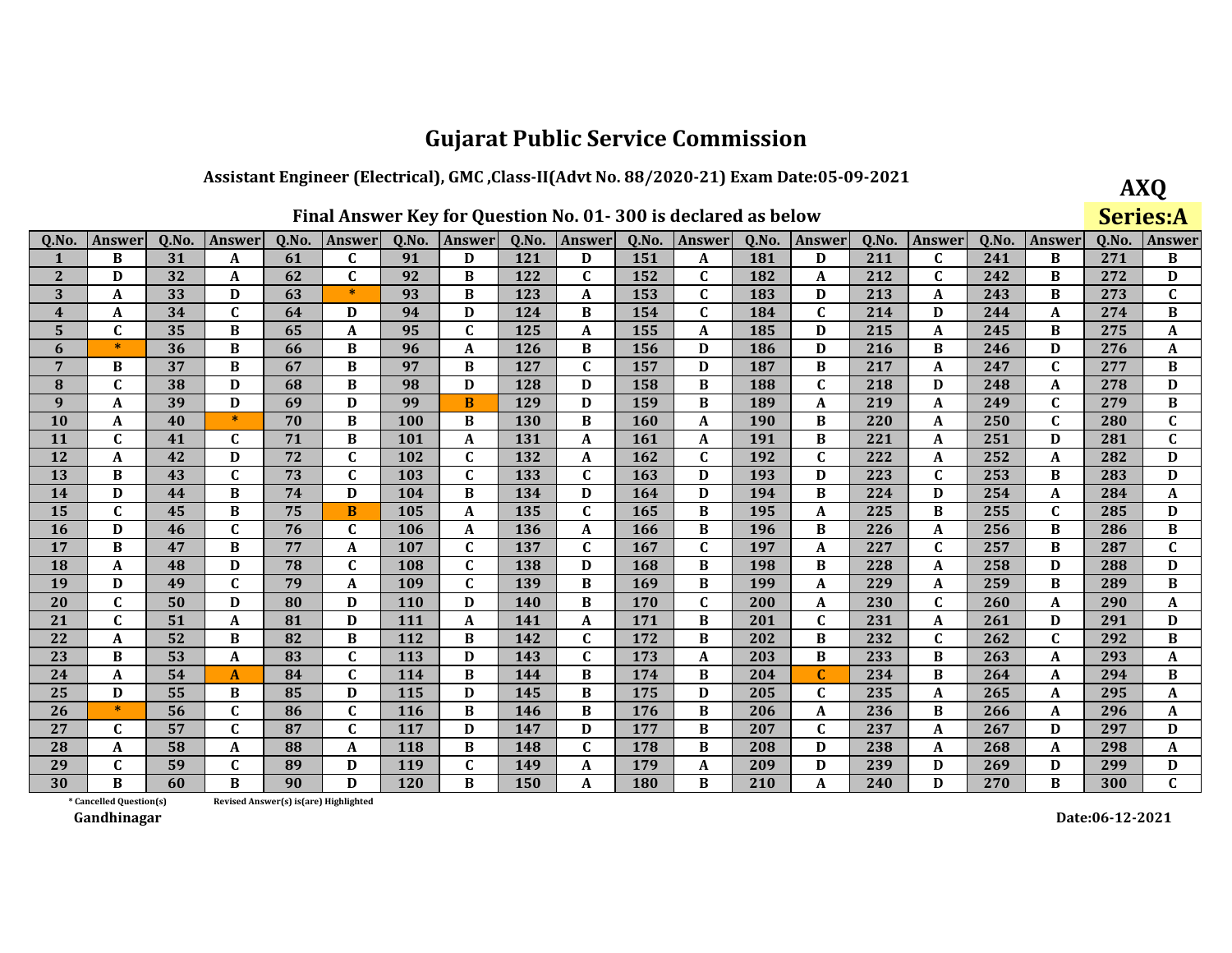### Assistant Engineer (Electrical), GMC, Class-II(Advt No. 88/2020-21) Exam Date:05-09-2021

**AXQ Series:A** 

| 0.No.           | <b>Answer</b> | 0.No. | Answer       | 0.No. | Answer       | 0.No. | Answer       | 0.No. | Answer       | 0.No. | <b>Answer</b> | Q.No. | <b>Answer</b> | 0.No. | Answer       | 0.No. | Answer       | 0.No. | <b>Answer</b> |
|-----------------|---------------|-------|--------------|-------|--------------|-------|--------------|-------|--------------|-------|---------------|-------|---------------|-------|--------------|-------|--------------|-------|---------------|
|                 | B             | 31    | A            | 61    | $\mathbf C$  | 91    | D            | 121   | D            | 151   | A             | 181   | D             | 211   | $\mathbf c$  | 241   | B            | 271   | В             |
| $\mathbf{2}$    | D             | 32    | A            | 62    | $\mathbf{C}$ | 92    | B            | 122   | C            | 152   | C             | 182   | A             | 212   | $\mathbf{C}$ | 242   | B            | 272   | D             |
| 3               | A             | 33    | D            | 63    | $\ast$       | 93    | B            | 123   | A            | 153   | $\mathbf{C}$  | 183   | D             | 213   | A            | 243   | B            | 273   | $\mathbf C$   |
| 4               | A             | 34    | $\mathbf{C}$ | 64    | D            | 94    | D            | 124   | B            | 154   | $\mathbf C$   | 184   | $\mathbf C$   | 214   | D            | 244   | A            | 274   | B             |
| 5               | $\mathbf C$   | 35    | B            | 65    | A            | 95    | $\mathbf C$  | 125   | A            | 155   | A             | 185   | D             | 215   | A            | 245   | B            | 275   | A             |
| 6               | $\ast$        | 36    | B            | 66    | B            | 96    | A            | 126   | B            | 156   | D             | 186   | D             | 216   | B            | 246   | D            | 276   | A             |
| $7\phantom{.0}$ | B             | 37    | B            | 67    | B            | 97    | B            | 127   | $\mathbf{C}$ | 157   | D             | 187   | B             | 217   | A            | 247   | $\mathbf{C}$ | 277   | B             |
| 8               | C             | 38    | D            | 68    | B            | 98    | D            | 128   | D            | 158   | <sub>R</sub>  | 188   | $\mathbf{C}$  | 218   | D            | 248   | A            | 278   | D             |
| 9               | A             | 39    | D            | 69    | D            | 99    | B            | 129   | D            | 159   | B             | 189   | A             | 219   | A            | 249   | $\mathbf C$  | 279   | B             |
| <b>10</b>       | A             | 40    | $\ast$       | 70    | B            | 100   | B            | 130   | B            | 160   | A             | 190   | B             | 220   | A            | 250   | $\mathbf{C}$ | 280   | $\mathbf C$   |
| <b>11</b>       | C             | 41    | $\mathbf{C}$ | 71    | B            | 101   | A            | 131   | A            | 161   | A             | 191   | B             | 221   | A            | 251   | D            | 281   | $\mathbf C$   |
| 12              | A             | 42    | D            | 72    | $\mathbf{C}$ | 102   | $\mathbf{C}$ | 132   | A            | 162   | $\mathbf{C}$  | 192   | $\mathbf{C}$  | 222   | A            | 252   | A            | 282   | D             |
| 13              | B             | 43    | $\mathbf{C}$ | 73    | $\mathbf{C}$ | 103   | $\mathbf{C}$ | 133   | $\mathbf C$  | 163   | D             | 193   | D             | 223   | $\mathbf C$  | 253   | <sub>R</sub> | 283   | D             |
| 14              | $\mathbf{D}$  | 44    | B            | 74    | D            | 104   | B            | 134   | D            | 164   | D             | 194   | B             | 224   | D            | 254   | A            | 284   | A             |
| 15              | C             | 45    | B            | 75    | B            | 105   | A            | 135   | $\mathbf C$  | 165   | B             | 195   | A             | 225   | B            | 255   | C            | 285   | D             |
| <b>16</b>       | D             | 46    | $\mathbf{C}$ | 76    | $\mathbf{C}$ | 106   | A            | 136   | A            | 166   | B             | 196   | B             | 226   | A            | 256   | B            | 286   | B             |
| 17              | B             | 47    | B            | 77    | A            | 107   | $\mathbf{C}$ | 137   | C            | 167   | $\mathbf{C}$  | 197   | A             | 227   | $\mathbf{C}$ | 257   | B            | 287   | $\mathbf{C}$  |
| 18              | $\mathbf{A}$  | 48    | D            | 78    | $\mathbf{C}$ | 108   | $\mathbf{C}$ | 138   | $\mathbf D$  | 168   | B             | 198   | B             | 228   | $\mathbf{A}$ | 258   | D            | 288   | D             |
| 19              | D             | 49    | C            | 79    | A            | 109   | $\mathbf{C}$ | 139   | B            | 169   | B             | 199   | A             | 229   | A            | 259   | B            | 289   | B             |
| 20              | C             | 50    | D            | 80    | D            | 110   | D            | 140   | B            | 170   | $\mathbf{C}$  | 200   | A             | 230   | $\mathbf{C}$ | 260   | A            | 290   | A             |
| 21              | $\mathbf{C}$  | 51    | A            | 81    | D            | 111   | A            | 141   | A            | 171   | B             | 201   | $\mathbf C$   | 231   | A            | 261   | D            | 291   | D             |
| 22              | A             | 52    | B            | 82    | B            | 112   | B            | 142   | $\mathbf C$  | 172   | B             | 202   | B             | 232   | $\mathbf C$  | 262   | $\mathbf{C}$ | 292   | B             |
| 23              | B             | 53    | A            | 83    | $\mathbf{C}$ | 113   | D            | 143   | $\mathbf{C}$ | 173   | A             | 203   | B             | 233   | B            | 263   | A            | 293   | A             |
| 24              | A             | 54    | A            | 84    | $\mathbf{C}$ | 114   | B            | 144   | B            | 174   | B             | 204   | C             | 234   | B            | 264   | A            | 294   | В             |
| 25              | D             | 55    | B            | 85    | D            | 115   | D            | 145   | B            | 175   | D             | 205   | $\mathbf{C}$  | 235   | A            | 265   | A            | 295   | A             |
| 26              | $\ast$        | 56    | $\mathbf{C}$ | 86    | $\mathbf{C}$ | 116   | B            | 146   | B            | 176   | B             | 206   | A             | 236   | B            | 266   | A            | 296   | A             |
| 27              | C             | 57    | $\mathbf{C}$ | 87    | $\mathbf C$  | 117   | D            | 147   | D            | 177   | B             | 207   | $\mathbf C$   | 237   | A            | 267   | D            | 297   | D             |
| 28              | A             | 58    | A            | 88    | A            | 118   | B            | 148   | $\mathbf{C}$ | 178   | B             | 208   | D             | 238   | $\mathbf{A}$ | 268   | A            | 298   | $\mathbf{A}$  |
| 29              | $\mathbf C$   | 59    | $\mathbf{C}$ | 89    | D            | 119   | $\mathbf C$  | 149   | A            | 179   | A             | 209   | D             | 239   | D            | 269   | D            | 299   | D             |
| 30              | B             | 60    | B            | 90    | D            | 120   | B            | 150   | A            | 180   | B             | 210   | A             | 240   | D            | 270   | B            | 300   | $\mathbf{C}$  |

\* Cancelled Question(s) Revised Answer(s) is(are) Highlighted

Gandhinagar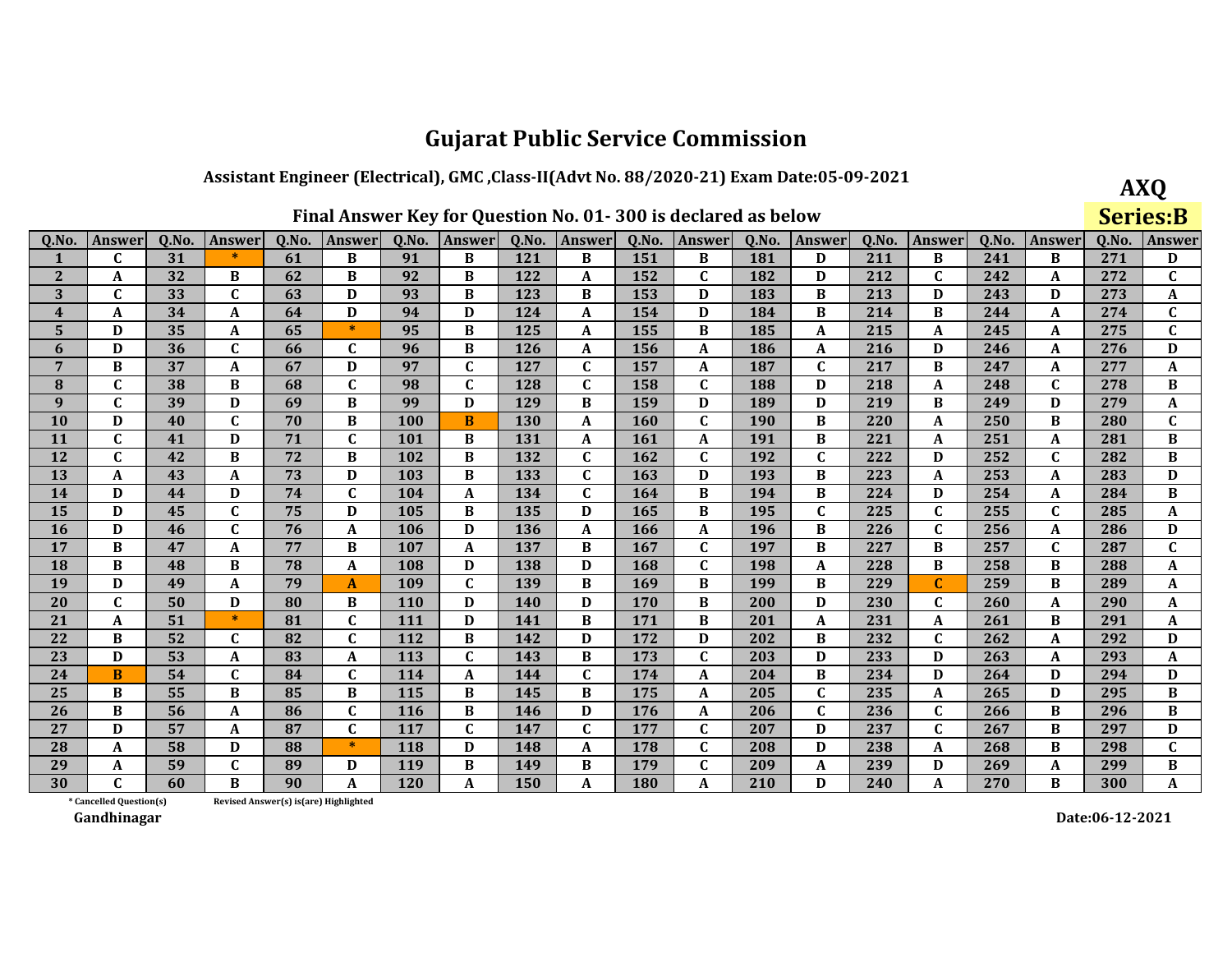### Assistant Engineer (Electrical), GMC, Class-II(Advt No. 88/2020-21) Exam Date:05-09-2021

| <b>AXO</b>      |
|-----------------|
| <b>Series:B</b> |

| Q.No.        | Answer       | 0.No. | <b>Answer</b> | 0.No. | Answer           | Q.No. | <b>Answer</b> | Q.No. | <b>Answer</b> | Q.No. | <b>Answer</b> | Q.No. | <b>Answer</b> | 0.No. | <b>Answer</b> | 0.No. | Answer       | Q.No. | Answer       |
|--------------|--------------|-------|---------------|-------|------------------|-------|---------------|-------|---------------|-------|---------------|-------|---------------|-------|---------------|-------|--------------|-------|--------------|
| -1           | C            | 31    | $\ast$        | 61    | B                | 91    | B             | 121   | B             | 151   | B             | 181   | D             | 211   | B             | 241   | B            | 271   | D            |
| 2            | A            | 32    | B             | 62    | B                | 92    | B             | 122   | A             | 152   | C             | 182   | D             | 212   | $\mathbf{C}$  | 242   | A            | 272   | $\mathbf C$  |
| 3            | C            | 33    | $\mathbf{C}$  | 63    | D                | 93    | B             | 123   | B             | 153   | D             | 183   | <sub>R</sub>  | 213   | D             | 243   | D            | 273   | A            |
| 4            | A            | 34    | A             | 64    | D                | 94    | D             | 124   | A             | 154   | D             | 184   | B             | 214   | B             | 244   | A            | 274   | $\mathbf{C}$ |
| 5            | D            | 35    | A             | 65    | $\ast$           | 95    | B             | 125   | A             | 155   | B             | 185   | A             | 215   | A             | 245   | A            | 275   | $\mathbf C$  |
| 6            | D            | 36    | $\mathbf{C}$  | 66    | $\mathbf C$      | 96    | B             | 126   | A             | 156   | A             | 186   | A             | 216   | D             | 246   | A            | 276   | D            |
| 7            | B            | 37    | A             | 67    | D                | 97    | $\mathbf{C}$  | 127   | $\mathbf C$   | 157   | A             | 187   | $\mathbf{C}$  | 217   | B             | 247   | A            | 277   | A            |
| 8            | C            | 38    | B             | 68    | $\mathbf{C}$     | 98    | $\mathbf C$   | 128   | $\mathbf{C}$  | 158   | $\mathbf{C}$  | 188   | D             | 218   | A             | 248   | $\mathbf{C}$ | 278   | B            |
| $\mathbf{q}$ | C            | 39    | D             | 69    | B                | 99    | D             | 129   | B             | 159   | D             | 189   | D             | 219   | B             | 249   | D            | 279   | A            |
| <b>10</b>    | D            | 40    | $\mathbf{C}$  | 70    | B                | 100   | B             | 130   | A             | 160   | $\mathbf{C}$  | 190   | B             | 220   | A             | 250   | B            | 280   | $\mathbf{C}$ |
| <b>11</b>    | $\mathbf{C}$ | 41    | D             | 71    | $\mathbf C$      | 101   | B             | 131   | A             | 161   | A             | 191   | B             | 221   | A             | 251   | A            | 281   | B            |
| 12           | C            | 42    | B             | 72    | B                | 102   | B             | 132   | $\mathbf C$   | 162   | $\mathbf{C}$  | 192   | $\mathbf{C}$  | 222   | D             | 252   | $\mathbf C$  | 282   | $\bf{B}$     |
| 13           | A            | 43    | A             | 73    | D                | 103   | B             | 133   | $\mathbf{C}$  | 163   | D             | 193   | <sub>R</sub>  | 223   | A             | 253   | A            | 283   | D            |
| 14           | D            | 44    | D             | 74    | $\mathbf C$      | 104   | A             | 134   | $\mathbf C$   | 164   | B             | 194   | B             | 224   | D             | 254   | A            | 284   | $\bf{B}$     |
| 15           | D            | 45    | $\mathbf{C}$  | 75    | D                | 105   | B             | 135   | D             | 165   | B             | 195   | $\mathbf{C}$  | 225   | $\mathbf C$   | 255   | $\mathbf{C}$ | 285   | A            |
| <b>16</b>    | D            | 46    | $\mathbf{C}$  | 76    | A                | 106   | D             | 136   | A             | 166   | A             | 196   | B             | 226   | $\mathbf C$   | 256   | A            | 286   | D            |
| 17           | B            | 47    | A             | 77    | B                | 107   | A             | 137   | B             | 167   | $\mathbf{C}$  | 197   | B             | 227   | B             | 257   | $\mathbf{C}$ | 287   | $\mathbf{C}$ |
| 18           | B            | 48    | B             | 78    | $\boldsymbol{A}$ | 108   | D             | 138   | D             | 168   | $\mathbf{C}$  | 198   | A             | 228   | $\bf{B}$      | 258   | B            | 288   | A            |
| 19           | D            | 49    | A             | 79    | A                | 109   | $\mathbf C$   | 139   | В             | 169   | B             | 199   | B             | 229   | $\mathbf{C}$  | 259   | B            | 289   | A            |
| 20           | C            | 50    | D             | 80    | B                | 110   | D             | 140   | D             | 170   | B             | 200   | D             | 230   | $\mathbf C$   | 260   | A            | 290   | A            |
| 21           | A            | 51    | $\ast$        | 81    | $\mathbf C$      | 111   | D             | 141   | B             | 171   | B             | 201   | A             | 231   | A             | 261   | B            | 291   | A            |
| 22           | B            | 52    | C             | 82    | C                | 112   | B             | 142   | D             | 172   | D             | 202   | B             | 232   | $\mathbf{C}$  | 262   | A            | 292   | D            |
| 23           | D            | 53    | A             | 83    | A                | 113   | $\mathbf C$   | 143   | B             | 173   | $\mathbf{C}$  | 203   | D             | 233   | D             | 263   | A            | 293   | A            |
| 24           | B            | 54    | $\mathbf{C}$  | 84    | $\mathbf C$      | 114   | A             | 144   | $\mathbf C$   | 174   | A             | 204   | B             | 234   | D             | 264   | D            | 294   | D            |
| 25           | B            | 55    | B             | 85    | B                | 115   | B             | 145   | B             | 175   | A             | 205   | $\mathbf{C}$  | 235   | A             | 265   | D            | 295   | B            |
| 26           | B            | 56    | A             | 86    | $\mathbf C$      | 116   | B             | 146   | D             | 176   | A             | 206   | $\mathbf{C}$  | 236   | $\mathbf C$   | 266   | B            | 296   | $\bf{B}$     |
| 27           | D            | 57    | A             | 87    | $\mathbf C$      | 117   | $\mathbf{C}$  | 147   | C             | 177   | C             | 207   | D             | 237   | $\mathbf C$   | 267   | B            | 297   | D            |
| 28           | A            | 58    | D             | 88    | $\ast$           | 118   | D             | 148   | A             | 178   | $\mathbf{C}$  | 208   | $\mathbf D$   | 238   | A             | 268   | <sub>R</sub> | 298   | $\mathbf C$  |
| 29           | A            | 59    | C             | 89    | D                | 119   | B             | 149   | В             | 179   | $\mathbf{C}$  | 209   | A             | 239   | D             | 269   | A            | 299   | $\bf{B}$     |
| 30           | C            | 60    | B             | 90    | A                | 120   | A             | 150   | A             | 180   | A             | 210   | D             | 240   | A             | 270   | В            | 300   | A            |

Revised Answer(s) is(are) Highlighted

\* Cancelled Question(s) Gandhinagar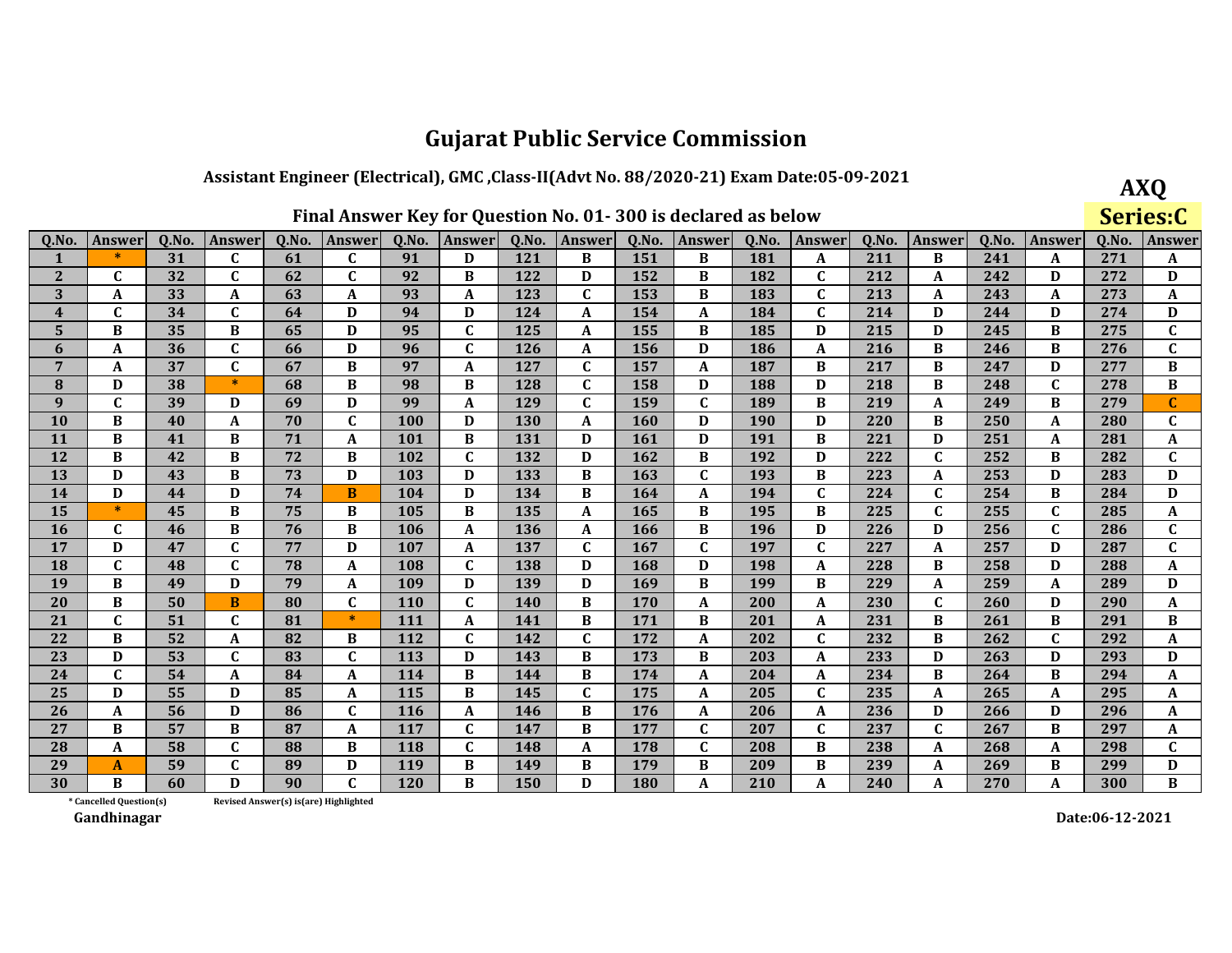### Assistant Engineer (Electrical), GMC, Class-II(Advt No. 88/2020-21) Exam Date:05-09-2021

**AXQ** Series:C

| 0.No.                   | Answer       | 0.No. | Answer       | 0.No. | <b>Answer</b> | 0.No. | <b>Answer</b> | 0.No. | Answer       | Q.No. | Answer       | 0.No. | <b>Answer</b> | Q.No. | <b>Answer</b> | 0.No. | Answer       | 0.No. | <b>Answer</b>  |
|-------------------------|--------------|-------|--------------|-------|---------------|-------|---------------|-------|--------------|-------|--------------|-------|---------------|-------|---------------|-------|--------------|-------|----------------|
|                         | $*$          | 31    | C            | 61    | C             | 91    | D             | 121   | B            | 151   | B            | 181   | A             | 211   | B             | 241   | A            | 271   | A              |
| 2                       | C            | 32    | C            | 62    | C             | 92    | B             | 122   | D            | 152   | B            | 182   | C             | 212   | A             | 242   | D            | 272   | D              |
| 3                       | A            | 33    | A            | 63    | A             | 93    | A             | 123   | $\mathbf{C}$ | 153   | <sub>R</sub> | 183   | $\mathbf{C}$  | 213   | A             | 243   | A            | 273   | A              |
| $\overline{\mathbf{4}}$ | C            | 34    | $\mathbf{C}$ | 64    | D             | 94    | D             | 124   | A            | 154   | A            | 184   | $\mathbf C$   | 214   | D             | 244   | D            | 274   | D              |
| 5                       | B            | 35    | B            | 65    | D             | 95    | $\mathbf{C}$  | 125   | A            | 155   | B            | 185   | D             | 215   | D             | 245   | B            | 275   | $\overline{c}$ |
| 6                       | A            | 36    | $\mathbf{C}$ | 66    | D             | 96    | $\mathbf{C}$  | 126   | A            | 156   | D            | 186   | A             | 216   | B             | 246   | B            | 276   | $\mathbf C$    |
| 7                       | A            | 37    | $\mathbf{C}$ | 67    | B             | 97    | A             | 127   | C            | 157   | A            | 187   | B             | 217   | В             | 247   | D            | 277   | B              |
| 8                       | D            | 38    | $\ast$       | 68    | B             | 98    | B             | 128   | C            | 158   | D            | 188   | D             | 218   | B             | 248   | $\mathbf{C}$ | 278   | B              |
| $\mathbf{q}$            | C            | 39    | D            | 69    | D             | 99    | A             | 129   | C            | 159   | $\mathbf{C}$ | 189   | B             | 219   | A             | 249   | B            | 279   | C              |
| <b>10</b>               | B            | 40    | A            | 70    | C             | 100   | D             | 130   | $\mathbf A$  | 160   | D            | 190   | D             | 220   | B             | 250   | A            | 280   | $\mathbf C$    |
| <b>11</b>               | B            | 41    | В            | 71    | A             | 101   | B             | 131   | D            | 161   | D            | 191   | В             | 221   | D             | 251   | A            | 281   | A              |
| <b>12</b>               | B            | 42    | B            | 72    | B             | 102   | $\mathbf{C}$  | 132   | D            | 162   | B            | 192   | D             | 222   | $\mathbf C$   | 252   | B            | 282   | $\mathbf C$    |
| 13                      | $\mathbf{D}$ | 43    | B            | 73    | D             | 103   | D             | 133   | B            | 163   | $\mathbf{C}$ | 193   | B             | 223   | A             | 253   | $\mathbf{D}$ | 283   | D              |
| 14                      | D            | 44    | D            | 74    | B             | 104   | D             | 134   | B            | 164   | A            | 194   | $\mathbf C$   | 224   | $\mathbf{C}$  | 254   | B            | 284   | D              |
| 15                      | $\ast$       | 45    | B            | 75    | B             | 105   | B             | 135   | A            | 165   | B            | 195   | B             | 225   | $\mathbf{C}$  | 255   | $\mathbf{C}$ | 285   | A              |
| <b>16</b>               | C            | 46    | B            | 76    | B             | 106   | A             | 136   | A            | 166   | B            | 196   | D             | 226   | D             | 256   | $\mathbf{C}$ | 286   | $\mathbf C$    |
| 17                      | D            | 47    | $\mathbf{C}$ | 77    | D             | 107   | A             | 137   | C            | 167   | $\mathbf{C}$ | 197   | $\mathbf{C}$  | 227   | A             | 257   | D            | 287   | $\mathbf C$    |
| <b>18</b>               | $\mathbf{C}$ | 48    | C            | 78    | A             | 108   | $\mathbf{C}$  | 138   | D            | 168   | D            | 198   | A             | 228   | B             | 258   | D            | 288   | A              |
| 19                      | B            | 49    | D            | 79    | A             | 109   | D             | 139   | D            | 169   | B            | 199   | В             | 229   | A             | 259   | A            | 289   | D              |
| 20                      | B            | 50    | B            | 80    | $\mathbf C$   | 110   | $\mathbf{C}$  | 140   | B            | 170   | A            | 200   | A             | 230   | $\mathbf C$   | 260   | D            | 290   | A              |
| 21                      | C            | 51    | $\mathbf{C}$ | 81    | $\ast$        | 111   | A             | 141   | B            | 171   | B            | 201   | A             | 231   | B             | 261   | B            | 291   | B              |
| 22                      | B            | 52    | A            | 82    | B             | 112   | $\mathbf{C}$  | 142   | C            | 172   | A            | 202   | C             | 232   | $\, {\bf B}$  | 262   | $\mathbf C$  | 292   | A              |
| 23                      | D            | 53    | C            | 83    | C             | 113   | D             | 143   | B            | 173   | B            | 203   | A             | 233   | D             | 263   | D            | 293   | D              |
| 24                      | $\mathbf C$  | 54    | A            | 84    | A             | 114   | B             | 144   | B            | 174   | A            | 204   | A             | 234   | В             | 264   | B            | 294   | A              |
| 25                      | D            | 55    | D            | 85    | A             | 115   | B             | 145   | C            | 175   | A            | 205   | $\mathbf{C}$  | 235   | A             | 265   | A            | 295   | A              |
| 26                      | A            | 56    | D            | 86    | C             | 116   | A             | 146   | B            | 176   | A            | 206   | A             | 236   | D             | 266   | D            | 296   | A              |
| 27                      | B            | 57    | B            | 87    | A             | 117   | $\mathbf C$   | 147   | В            | 177   | C            | 207   | $\mathbf C$   | 237   | $\mathbf{C}$  | 267   | B            | 297   | A              |
| 28                      | A            | 58    | $\mathbf{C}$ | 88    | B             | 118   | $\mathbf{C}$  | 148   | A            | 178   | $\mathbf{C}$ | 208   | B             | 238   | A             | 268   | A            | 298   | $\mathbf{C}$   |
| 29                      | A            | 59    | $\mathbf{C}$ | 89    | D             | 119   | B             | 149   | B            | 179   | B            | 209   | B             | 239   | A             | 269   | B            | 299   | D              |
| 30                      | B            | 60    | D            | 90    | C             | 120   | B             | 150   | D            | 180   | A            | 210   | A             | 240   | A             | 270   | A            | 300   | B              |

Revised Answer(s) is(are) Highlighted

\* Cancelled Question(s) Gandhinagar